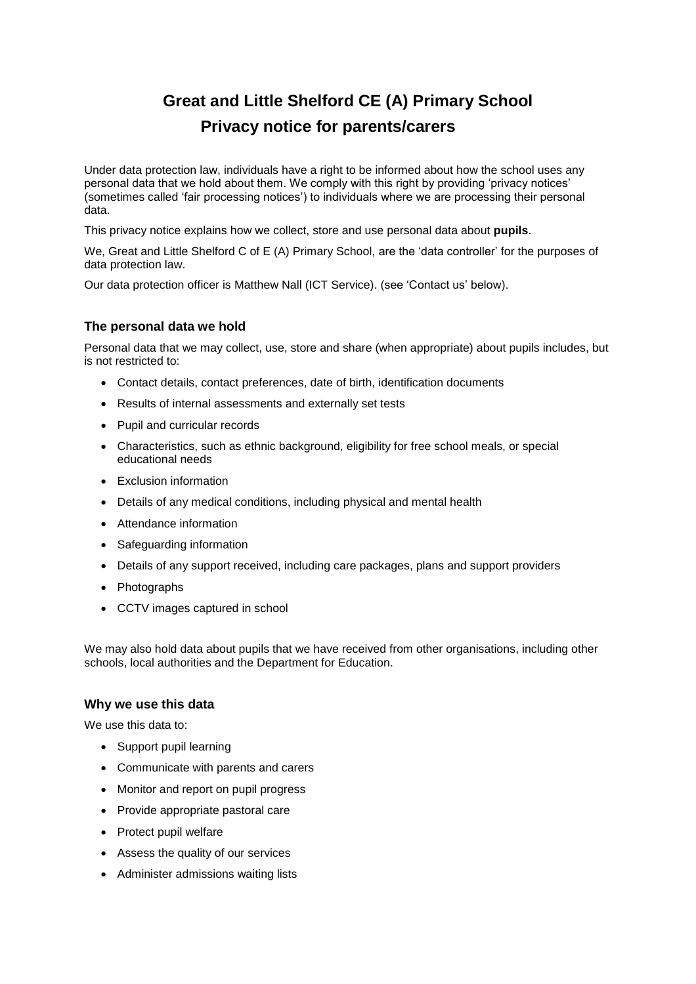# **Great and Little Shelford CE (A) Primary School Privacy notice for parents/carers**

Under data protection law, individuals have a right to be informed about how the school uses any personal data that we hold about them. We comply with this right by providing 'privacy notices' (sometimes called 'fair processing notices') to individuals where we are processing their personal data.

This privacy notice explains how we collect, store and use personal data about **pupils**.

We, Great and Little Shelford C of E (A) Primary School, are the 'data controller' for the purposes of data protection law.

Our data protection officer is Matthew Nall (ICT Service). (see 'Contact us' below).

# **The personal data we hold**

Personal data that we may collect, use, store and share (when appropriate) about pupils includes, but is not restricted to:

- Contact details, contact preferences, date of birth, identification documents
- Results of internal assessments and externally set tests
- Pupil and curricular records
- Characteristics, such as ethnic background, eligibility for free school meals, or special educational needs
- Exclusion information
- Details of any medical conditions, including physical and mental health
- Attendance information
- Safeguarding information
- Details of any support received, including care packages, plans and support providers
- Photographs
- CCTV images captured in school

We may also hold data about pupils that we have received from other organisations, including other schools, local authorities and the Department for Education.

## **Why we use this data**

We use this data to:

- Support pupil learning
- Communicate with parents and carers
- Monitor and report on pupil progress
- Provide appropriate pastoral care
- Protect pupil welfare
- Assess the quality of our services
- Administer admissions waiting lists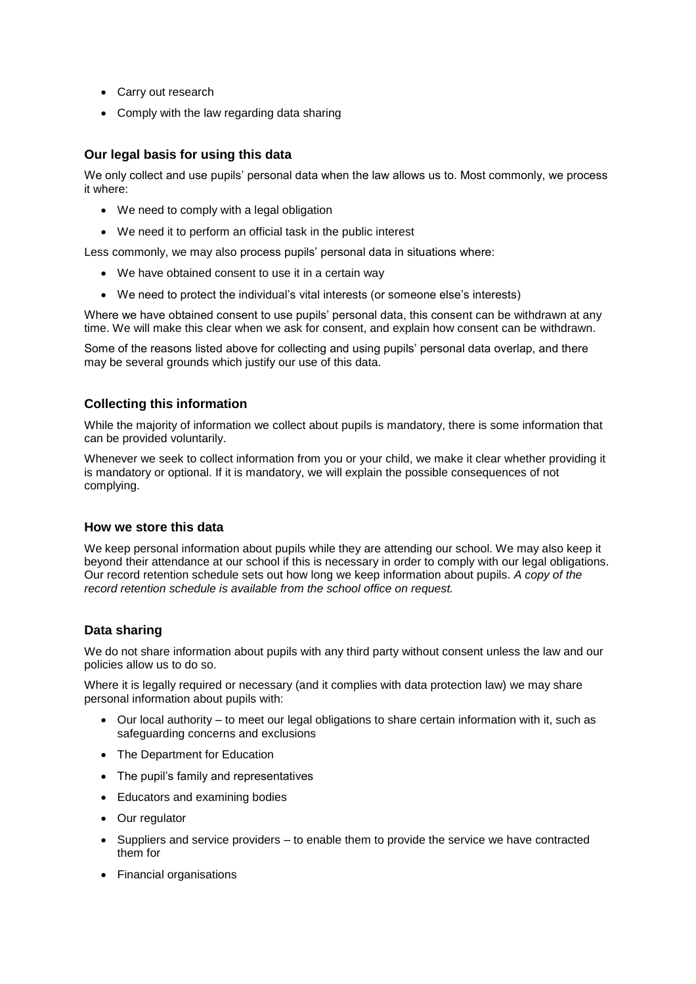- Carry out research
- Comply with the law regarding data sharing

# **Our legal basis for using this data**

We only collect and use pupils' personal data when the law allows us to. Most commonly, we process it where:

- We need to comply with a legal obligation
- We need it to perform an official task in the public interest

Less commonly, we may also process pupils' personal data in situations where:

- We have obtained consent to use it in a certain way
- We need to protect the individual's vital interests (or someone else's interests)

Where we have obtained consent to use pupils' personal data, this consent can be withdrawn at any time. We will make this clear when we ask for consent, and explain how consent can be withdrawn.

Some of the reasons listed above for collecting and using pupils' personal data overlap, and there may be several grounds which justify our use of this data.

# **Collecting this information**

While the majority of information we collect about pupils is mandatory, there is some information that can be provided voluntarily.

Whenever we seek to collect information from you or your child, we make it clear whether providing it is mandatory or optional. If it is mandatory, we will explain the possible consequences of not complying.

## **How we store this data**

We keep personal information about pupils while they are attending our school. We may also keep it beyond their attendance at our school if this is necessary in order to comply with our legal obligations. Our record retention schedule sets out how long we keep information about pupils. *A copy of the record retention schedule is available from the school office on request.* 

# **Data sharing**

We do not share information about pupils with any third party without consent unless the law and our policies allow us to do so.

Where it is legally required or necessary (and it complies with data protection law) we may share personal information about pupils with:

- Our local authority to meet our legal obligations to share certain information with it, such as safeguarding concerns and exclusions
- The Department for Education
- The pupil's family and representatives
- Educators and examining bodies
- Our regulator
- Suppliers and service providers to enable them to provide the service we have contracted them for
- Financial organisations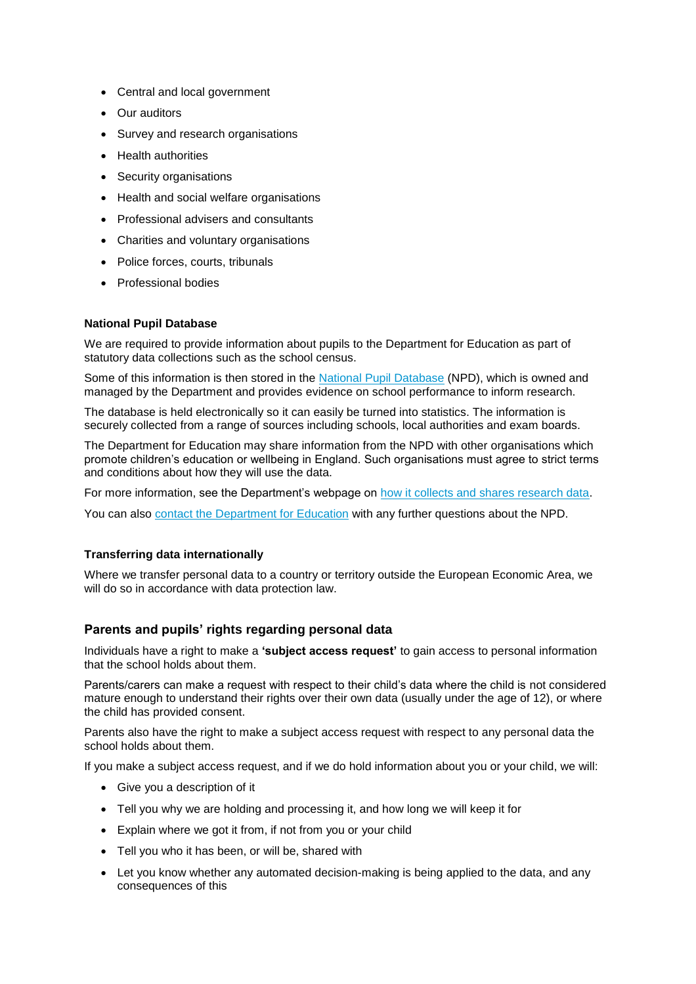- Central and local government
- Our auditors
- Survey and research organisations
- Health authorities
- Security organisations
- Health and social welfare organisations
- Professional advisers and consultants
- Charities and voluntary organisations
- Police forces, courts, tribunals
- Professional bodies

#### **National Pupil Database**

We are required to provide information about pupils to the Department for Education as part of statutory data collections such as the school census.

Some of this information is then stored in the [National Pupil Database](https://www.gov.uk/government/publications/national-pupil-database-user-guide-and-supporting-information) (NPD), which is owned and managed by the Department and provides evidence on school performance to inform research.

The database is held electronically so it can easily be turned into statistics. The information is securely collected from a range of sources including schools, local authorities and exam boards.

The Department for Education may share information from the NPD with other organisations which promote children's education or wellbeing in England. Such organisations must agree to strict terms and conditions about how they will use the data.

For more information, see the Department's webpage on [how it collects and shares research data.](https://www.gov.uk/data-protection-how-we-collect-and-share-research-data)

You can also [contact the Department for Education](https://www.gov.uk/contact-dfe) with any further questions about the NPD.

#### **Transferring data internationally**

Where we transfer personal data to a country or territory outside the European Economic Area, we will do so in accordance with data protection law.

## **Parents and pupils' rights regarding personal data**

Individuals have a right to make a **'subject access request'** to gain access to personal information that the school holds about them.

Parents/carers can make a request with respect to their child's data where the child is not considered mature enough to understand their rights over their own data (usually under the age of 12), or where the child has provided consent.

Parents also have the right to make a subject access request with respect to any personal data the school holds about them.

If you make a subject access request, and if we do hold information about you or your child, we will:

- Give you a description of it
- Tell you why we are holding and processing it, and how long we will keep it for
- Explain where we got it from, if not from you or your child
- Tell you who it has been, or will be, shared with
- Let you know whether any automated decision-making is being applied to the data, and any consequences of this